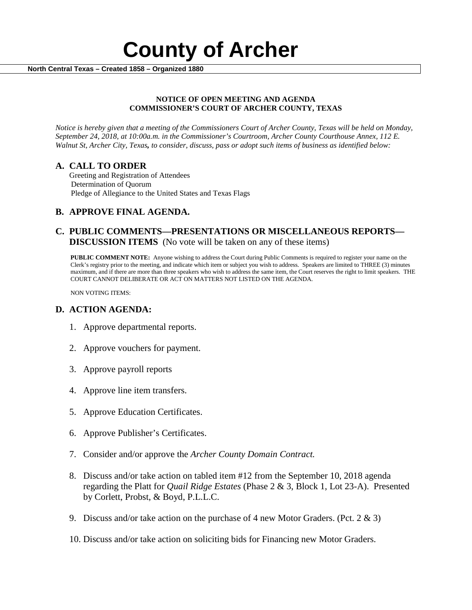

#### **NOTICE OF OPEN MEETING AND AGENDA COMMISSIONER'S COURT OF ARCHER COUNTY, TEXAS**

*Notice is hereby given that a meeting of the Commissioners Court of Archer County, Texas will be held on Monday, September 24, 2018, at 10:00a.m. in the Commissioner's Courtroom, Archer County Courthouse Annex, 112 E. Walnut St, Archer City, Texas, to consider, discuss, pass or adopt such items of business as identified below:*

**A. CALL TO ORDER** Greeting and Registration of Attendees Determination of Quorum Pledge of Allegiance to the United States and Texas Flags

# **B. APPROVE FINAL AGENDA.**

# **C. PUBLIC COMMENTS—PRESENTATIONS OR MISCELLANEOUS REPORTS— DISCUSSION ITEMS** (No vote will be taken on any of these items)

**PUBLIC COMMENT NOTE:** Anyone wishing to address the Court during Public Comments is required to register your name on the Clerk's registry prior to the meeting, and indicate which item or subject you wish to address. Speakers are limited to THREE (3) minutes maximum, and if there are more than three speakers who wish to address the same item, the Court reserves the right to limit speakers. THE COURT CANNOT DELIBERATE OR ACT ON MATTERS NOT LISTED ON THE AGENDA.

NON VOTING ITEMS:

### **D. ACTION AGENDA:**

- 1. Approve departmental reports.
- 2. Approve vouchers for payment.
- 3. Approve payroll reports
- 4. Approve line item transfers.
- 5. Approve Education Certificates.
- 6. Approve Publisher's Certificates.
- 7. Consider and/or approve the *Archer County Domain Contract.*
- 8. Discuss and/or take action on tabled item #12 from the September 10, 2018 agenda regarding the Platt for *Quail Ridge Estates* (Phase 2 & 3, Block 1, Lot 23-A). Presented by Corlett, Probst, & Boyd, P.L.L.C.
- 9. Discuss and/or take action on the purchase of 4 new Motor Graders. (Pct.  $2 \& 3$ )
- 10. Discuss and/or take action on soliciting bids for Financing new Motor Graders.